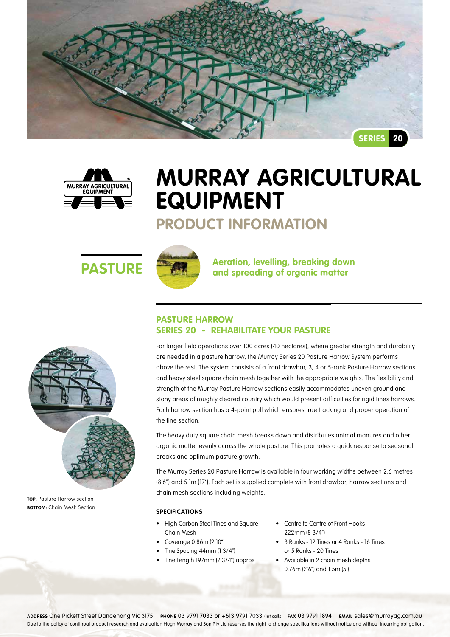



# **Murray Agricultural Equipment**

## **Product Information**





**PASTURE ARE A** Aeration, levelling, breaking down<br>and spreading of organic matter

### **Pasture Harrow Series 20 - REHABILITATE YOUR PASTURE**

For larger field operations over 100 acres (40 hectares), where greater strength and durability are needed in a pasture harrow, the Murray Series 20 Pasture Harrow System performs above the rest. The system consists of a front drawbar, 3, 4 or 5-rank Pasture Harrow sections and heavy steel square chain mesh together with the appropriate weights. The flexibility and strength of the Murray Pasture Harrow sections easily accommodates uneven ground and stony areas of roughly cleared country which would present difficulties for rigid tines harrows. Each harrow section has a 4-point pull which ensures true tracking and proper operation of the tine section.

The heavy duty square chain mesh breaks down and distributes animal manures and other organic matter evenly across the whole pasture. This promotes a quick response to seasonal breaks and optimum pasture growth.

The Murray Series 20 Pasture Harrow is available in four working widths between 2.6 metres (8'6") and 5.1m (17'). Each set is supplied complete with front drawbar, harrow sections and chain mesh sections including weights.

### **Specifications**

- • High Carbon Steel Tines and Square Chain Mesh
- • Coverage 0.86m (2'10")
- Tine Spacing 44mm (1 3/4")
- Tine Length 197mm (7 3/4") approx
- Centre to Centre of Front Hooks 222mm (8 3/4")
- • 3 Ranks 12 Tines or 4 Ranks 16 Tines or 5 Ranks - 20 Tines
- • Available in 2 chain mesh depths 0.76m (2'6") and 1.5m (5')

**TOP:** Pasture Harrow section **BOTTOM:** Chain Mesh Section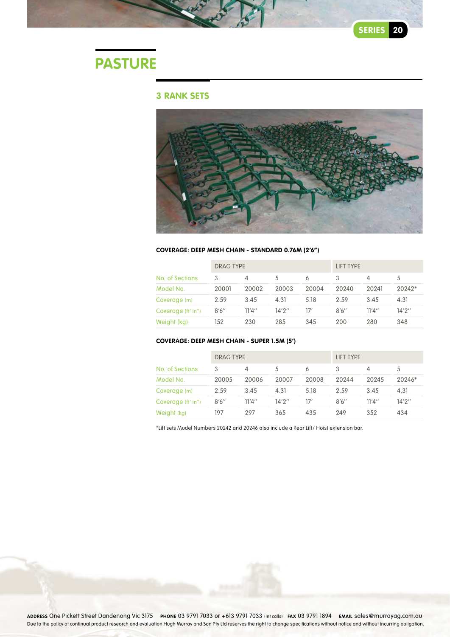# **Pasture**

### **3 Rank sets**



#### **Coverage: Deep Mesh Chain - Standard 0.76m (2'6")**

|                    | <b>DRAG TYPE</b> |        |        |       | LIFT TYPE |        |          |
|--------------------|------------------|--------|--------|-------|-----------|--------|----------|
| No. of Sections    | 3                |        | 5      | 6     |           | 4      | 5        |
| Model No.          | 20001            | 20002  | 20003  | 20004 | 20240     | 20241  | $20242*$ |
| Coverage (m)       | 2.59             | 3.45   | 4.31   | 5.18  | 2.59      | 3.45   | 4.31     |
| Coverage (ft' in") | 8'6''            | 11'4'' | 14'2'' | 17'   | 8'6''     | 11'4'' | 14'2''   |
| Weight (kg)        | 152              | 230    | 285    | 345   | 200       | 280    | 348      |

#### **Coverage: Deep Mesh Chain - Super 1.5m (5')**

|                    | DRAG TYPE |        |        |       | LIFT TYPE |        |          |
|--------------------|-----------|--------|--------|-------|-----------|--------|----------|
| No. of Sections    | 3         |        | 5      | 6     | 3         |        | 5        |
| Model No.          | 20005     | 20006  | 20007  | 20008 | 20244     | 20245  | $20246*$ |
| Coverage (m)       | 2.59      | 3.45   | 4.31   | 5.18  | 2.59      | 3.45   | 4.31     |
| Coverage (ft' in") | 8'6''     | 11'4'' | 14'2'' | 17'   | 8'6''     | 11'4'' | 14'2''   |
| Weight (kg)        | 197       | 297    | 365    | 435   | 249       | 352    | 434      |

\*Lift sets Model Numbers 20242 and 20246 also include a Rear Lift/ Hoist extension bar.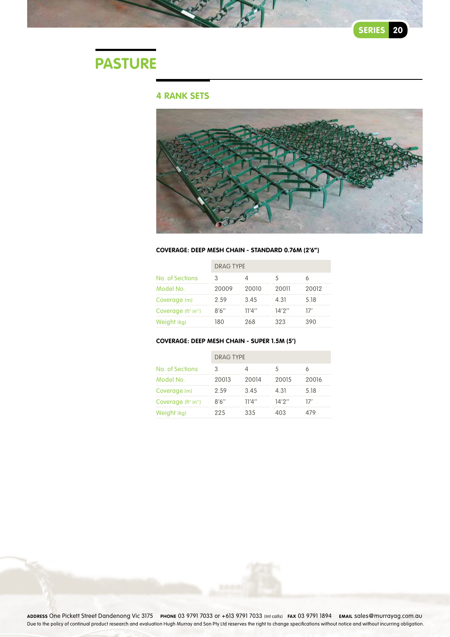# **Pasture**

### **4 Rank sets**



#### **Coverage: Deep Mesh Chain - Standard 0.76m (2'6")**

|                    | <b>DRAG TYPE</b> |        |        |       |  |  |
|--------------------|------------------|--------|--------|-------|--|--|
| No. of Sections    | 3                | 4      | 5      | 6     |  |  |
| Model No.          | 20009            | 20010  | 20011  | 20012 |  |  |
| Coverage (m)       | 2.59             | 3.45   | 4.31   | 5.18  |  |  |
| Coverage (ft' in") | 8'6''            | 11'4'' | 14'2'' | 17'   |  |  |
| Weight (kg)        | 180              | 268    | 323    | 390   |  |  |

### **Coverage: Deep Mesh Chain - Super 1.5m (5')**

|                    | <b>DRAG TYPE</b> |        |        |       |  |  |
|--------------------|------------------|--------|--------|-------|--|--|
| No. of Sections    | 3                |        | 5      |       |  |  |
| Model No.          | 20013            | 20014  | 20015  | 20016 |  |  |
| Coverage (m)       | 2.59             | 3.45   | 4.31   | 5.18  |  |  |
| Coverage (ft' in") | 8'6''            | 11'4'' | 14'2'' | 17'   |  |  |
| Weight (kg)        | 225              | 335    | 403    | 479   |  |  |

**Address** One Pickett Street Dandenong Vic 3175 **Phone** 03 9791 7033 or +613 9791 7033 (Int calls) **Fax** 03 9791 1894 **Email** sales@murrayag.com.au Due to the policy of continual product research and evaluation Hugh Murray and Son Pty Ltd reserves the right to change specifications without notice and without incurring obligation.